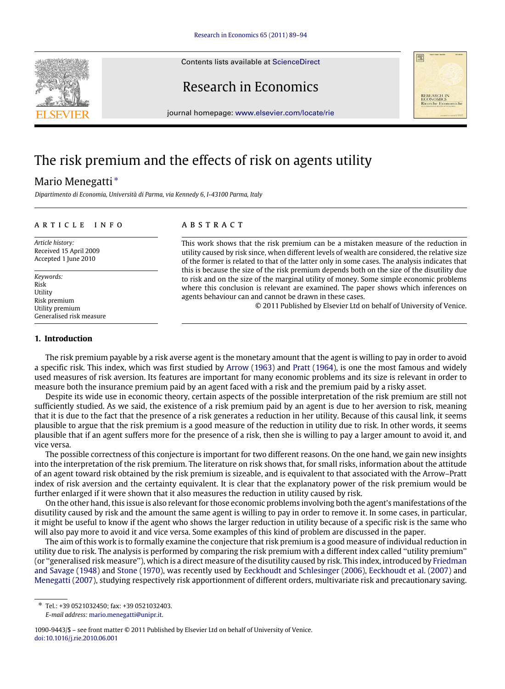Contents lists available at [ScienceDirect](http://www.elsevier.com/locate/rie)



# Research in Economics



journal homepage: [www.elsevier.com/locate/rie](http://www.elsevier.com/locate/rie)

# The risk premium and the effects of risk on agents utility

## Mario Menegatti [∗](#page-0-0)

*Dipartimento di Economia, Università di Parma, via Kennedy 6, I-43100 Parma, Italy*

### a r t i c l e i n f o

*Article history:* Received 15 April 2009 Accepted 1 June 2010

*Keywords:* Risk Utility Risk premium Utility premium Generalised risk measure

### **1. Introduction**

### a b s t r a c t

This work shows that the risk premium can be a mistaken measure of the reduction in utility caused by risk since, when different levels of wealth are considered, the relative size of the former is related to that of the latter only in some cases. The analysis indicates that this is because the size of the risk premium depends both on the size of the disutility due to risk and on the size of the marginal utility of money. Some simple economic problems where this conclusion is relevant are examined. The paper shows which inferences on agents behaviour can and cannot be drawn in these cases.

© 2011 Published by Elsevier Ltd on behalf of University of Venice.

The risk premium payable by a risk averse agent is the monetary amount that the agent is willing to pay in order to avoid a specific risk. This index, which was first studied by [Arrow](#page--1-0) [\(1963\)](#page--1-0) and [Pratt](#page--1-1) [\(1964\)](#page--1-1), is one the most famous and widely used measures of risk aversion. Its features are important for many economic problems and its size is relevant in order to measure both the insurance premium paid by an agent faced with a risk and the premium paid by a risky asset.

Despite its wide use in economic theory, certain aspects of the possible interpretation of the risk premium are still not sufficiently studied. As we said, the existence of a risk premium paid by an agent is due to her aversion to risk, meaning that it is due to the fact that the presence of a risk generates a reduction in her utility. Because of this causal link, it seems plausible to argue that the risk premium is a good measure of the reduction in utility due to risk. In other words, it seems plausible that if an agent suffers more for the presence of a risk, then she is willing to pay a larger amount to avoid it, and vice versa.

The possible correctness of this conjecture is important for two different reasons. On the one hand, we gain new insights into the interpretation of the risk premium. The literature on risk shows that, for small risks, information about the attitude of an agent toward risk obtained by the risk premium is sizeable, and is equivalent to that associated with the Arrow–Pratt index of risk aversion and the certainty equivalent. It is clear that the explanatory power of the risk premium would be further enlarged if it were shown that it also measures the reduction in utility caused by risk.

On the other hand, this issue is also relevant for those economic problems involving both the agent's manifestations of the disutility caused by risk and the amount the same agent is willing to pay in order to remove it. In some cases, in particular, it might be useful to know if the agent who shows the larger reduction in utility because of a specific risk is the same who will also pay more to avoid it and vice versa. Some examples of this kind of problem are discussed in the paper.

The aim of this work is to formally examine the conjecture that risk premium is a good measure of individual reduction in utility due to risk. The analysis is performed by comparing the risk premium with a different index called ''utility premium'' (or ''generalised risk measure''), which is a direct measure of the disutility caused by risk. This index, introduced by [Friedman](#page--1-2) [and](#page--1-2) [Savage](#page--1-2) [\(1948\)](#page--1-2) and [Stone](#page--1-3) [\(1970\)](#page--1-3), was recently used by [Eeckhoudt](#page--1-4) [and](#page--1-4) [Schlesinger](#page--1-4) [\(2006\)](#page--1-4), [Eeckhoudt](#page--1-5) [et al.](#page--1-5) [\(2007\)](#page--1-5) and [Menegatti](#page--1-6) [\(2007\)](#page--1-6), studying respectively risk apportionment of different orders, multivariate risk and precautionary saving.

<span id="page-0-0"></span>∗ Tel.: +39 0521032450; fax: +39 0521032403. *E-mail address:* [mario.menegatti@unipr.it.](mailto:mario.menegatti@unipr.it)

1090-9443/\$ – see front matter © 2011 Published by Elsevier Ltd on behalf of University of Venice. [doi:10.1016/j.rie.2010.06.001](http://dx.doi.org/10.1016/j.rie.2010.06.001)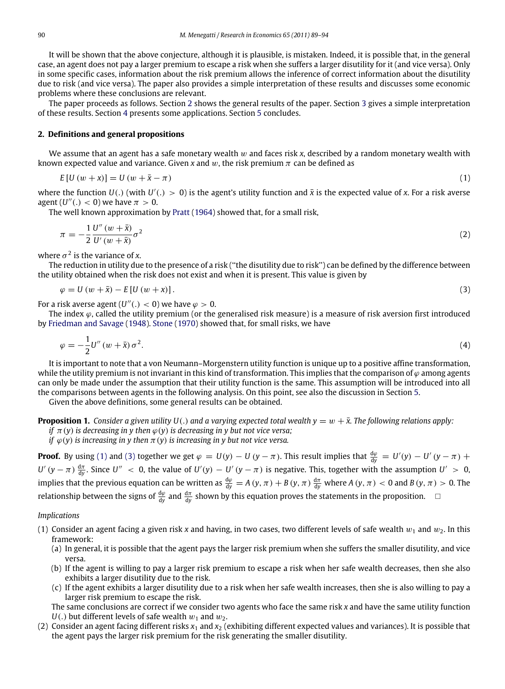It will be shown that the above conjecture, although it is plausible, is mistaken. Indeed, it is possible that, in the general case, an agent does not pay a larger premium to escape a risk when she suffers a larger disutility for it (and vice versa). Only in some specific cases, information about the risk premium allows the inference of correct information about the disutility due to risk (and vice versa). The paper also provides a simple interpretation of these results and discusses some economic problems where these conclusions are relevant.

The paper proceeds as follows. Section [2](#page-1-0) shows the general results of the paper. Section [3](#page--1-7) gives a simple interpretation of these results. Section [4](#page--1-8) presents some applications. Section [5](#page--1-9) concludes.

#### <span id="page-1-0"></span>**2. Definitions and general propositions**

We assume that an agent has a safe monetary wealth w and faces risk *x*, described by a random monetary wealth with known expected value and variance. Given *x* and w, the risk premium  $\pi$  can be defined as

<span id="page-1-1"></span>
$$
E[U(w+x)] = U(w+\bar{x}-\pi)
$$
\n<sup>(1)</sup>

where the function  $U(.)$  (with  $U'(.) > 0$ ) is the agent's utility function and  $\bar{x}$  is the expected value of x. For a risk averse agent  $(U''(.) < 0)$  we have  $\pi > 0$ .

The well known approximation by [Pratt](#page--1-1) [\(1964\)](#page--1-1) showed that, for a small risk,

$$
\pi = -\frac{1}{2} \frac{U''(w+\bar{x})}{U'(w+\bar{x})} \sigma^2 \tag{2}
$$

where  $\sigma^2$  is the variance of *x*.

The reduction in utility due to the presence of a risk (''the disutility due to risk'') can be defined by the difference between the utility obtained when the risk does not exist and when it is present. This value is given by

<span id="page-1-2"></span>
$$
\varphi = U \left( w + \bar{x} \right) - E \left[ U \left( w + x \right) \right]. \tag{3}
$$

For a risk averse agent  $(U''(.) < 0)$  we have  $\varphi > 0$ .

The index  $\varphi$ , called the utility premium (or the generalised risk measure) is a measure of risk aversion first introduced by [Friedman](#page--1-2) [and](#page--1-2) [Savage](#page--1-2) [\(1948\)](#page--1-2). [Stone](#page--1-3) [\(1970\)](#page--1-3) showed that, for small risks, we have

$$
\varphi = -\frac{1}{2}U''(w+\bar{x})\,\sigma^2.\tag{4}
$$

It is important to note that a von Neumann–Morgenstern utility function is unique up to a positive affine transformation, while the utility premium is not invariant in this kind of transformation. This implies that the comparison of  $\varphi$  among agents can only be made under the assumption that their utility function is the same. This assumption will be introduced into all the comparisons between agents in the following analysis. On this point, see also the discussion in Section [5.](#page--1-9)

Given the above definitions, some general results can be obtained.

**Proposition 1.** Consider a given utility U(.) and a varying expected total wealth  $y = w + \bar{x}$ . The following relations apply:

*if*  $\pi$  (*y*) *is decreasing in y then*  $\varphi$  (*y*) *is decreasing in y but not vice versa*;

*if*  $\varphi$ (*y*) *is increasing in y then*  $\pi$  (*y*) *is increasing in y but not vice versa.* 

**Proof.** By using [\(1\)](#page-1-1) and [\(3\)](#page-1-2) together we get  $\varphi = U(y) - U(y - \pi)$ . This result implies that  $\frac{d\varphi}{dy} = U'(y) - U'(y - \pi) +$ *U'*  $(y - \pi) \frac{d\pi}{dy}$ . Since *U''* < 0, the value of *U'*(*y*) – *U'*  $(y - \pi)$  is negative. This, together with the assumption *U'* > 0, implies that the previous equation can be written as  $\frac{d\varphi}{dy} = A(y, \pi) + B(y, \pi) \frac{d\pi}{dy}$  where  $A(y, \pi) < 0$  and  $B(y, \pi) > 0$ . The relationship between the signs of  $\frac{d\varphi}{dy}$  and  $\frac{d\pi}{dy}$  shown by this equation proves the statements in the proposition.

### *Implications*

- (1) Consider an agent facing a given risk  $x$  and having, in two cases, two different levels of safe wealth  $w_1$  and  $w_2$ . In this framework:
	- (a) In general, it is possible that the agent pays the larger risk premium when she suffers the smaller disutility, and vice versa.
	- (b) If the agent is willing to pay a larger risk premium to escape a risk when her safe wealth decreases, then she also exhibits a larger disutility due to the risk.
	- (c) If the agent exhibits a larger disutility due to a risk when her safe wealth increases, then she is also willing to pay a larger risk premium to escape the risk.

The same conclusions are correct if we consider two agents who face the same risk *x* and have the same utility function  $U(.)$  but different levels of safe wealth  $w_1$  and  $w_2$ .

(2) Consider an agent facing different risks *x*<sup>1</sup> and *x*<sup>2</sup> (exhibiting different expected values and variances). It is possible that the agent pays the larger risk premium for the risk generating the smaller disutility.